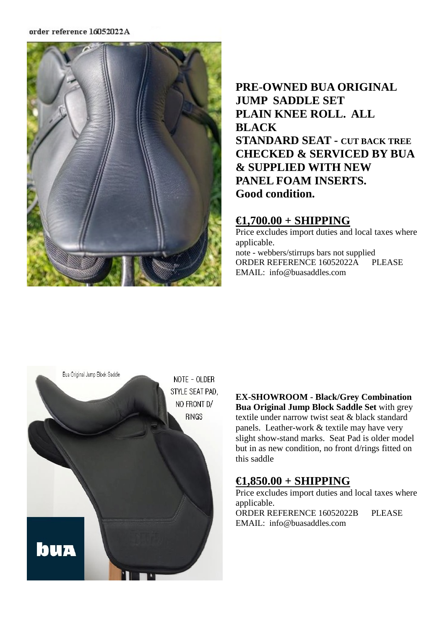#### order reference 16052022A



# **PRE-OWNED BUA ORIGINAL JUMP SADDLE SET PLAIN KNEE ROLL. ALL BLACK STANDARD SEAT - CUT BACK TREE CHECKED & SERVICED BY BUA & SUPPLIED WITH NEW PANEL FOAM INSERTS. Good condition.**

### **€1,700.00 + SHIPPING**

Price excludes import duties and local taxes where applicable. note - webbers/stirrups bars not supplied ORDER REFERENCE 16052022A PLEASE EMAIL: info@buasaddles.com



**EX-SHOWROOM - Black/Grey Combination Bua Original Jump Block Saddle Set** with grey textile under narrow twist seat & black standard panels. Leather-work & textile may have very slight show-stand marks. Seat Pad is older model but in as new condition, no front d/rings fitted on this saddle

## **€1,850.00 + SHIPPING**

Price excludes import duties and local taxes where applicable.

ORDER REFERENCE 16052022B PLEASE EMAIL: info@buasaddles.com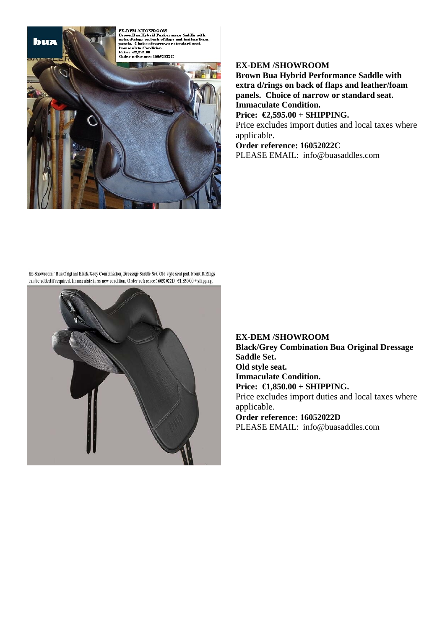**EX-DEM /SHOWROOM** EX-DEM /SHOWROOM<br>Brown Bua Hybrid Performance Saddle with<br>Brown Bua Hybrid Performance Saddle with<br>panels. Choice of harrow or standard seat.<br>Immaculate Condition.<br>Price:  $\epsilon \xi_2 S S S_0 0$ <br>Price:  $\epsilon \xi_2 S S_0 0$ <br>Order refere



buz

### **EX-DEM /SHOWROOM**

**Brown Bua Hybrid Performance Saddle with extra d/rings on back of flaps and leather/foam panels. Choice of narrow or standard seat. Immaculate Condition.**

**Price: €2,595.00 + SHIPPING.**

Price excludes import duties and local taxes where applicable.

**Order reference: 16052022C** PLEASE EMAIL: info@buasaddles.com

Ex-Showroom / Bua Original Black/Grey Combination, Dressage Saddle Set. Old style seat pad. Front D/Rings can be added if required. Immaculate in as new condition, Order reference 16052022D €1,850.00 + shipping.



**EX-DEM /SHOWROOM Black/Grey Combination Bua Original Dressage Saddle Set. Old style seat. Immaculate Condition. Price: €1,850.00 + SHIPPING.** Price excludes import duties and local taxes where applicable. **Order reference: 16052022D** PLEASE EMAIL: info@buasaddles.com